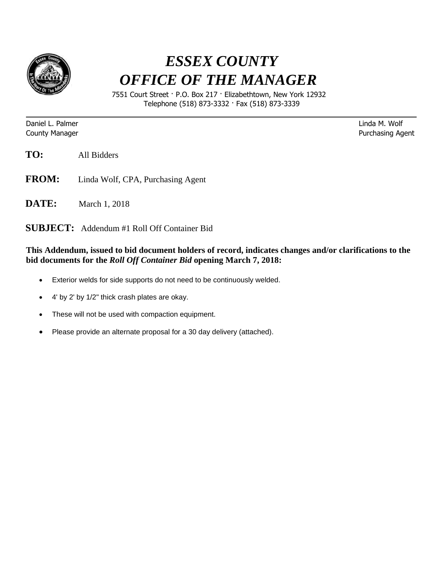

## *ESSEX COUNTY OFFICE OF THE MANAGER*

 7551 Court Street · P.O. Box 217 · Elizabethtown, New York 12932 Telephone (518) 873-3332 · Fax (518) 873-3339

Daniel L. Palmer Linda M. Wolf

**County Manager County Manager 2018** 

**TO:** All Bidders

- **FROM:** Linda Wolf, CPA, Purchasing Agent
- **DATE:** March 1, 2018

**SUBJECT:** Addendum #1 Roll Off Container Bid

## **This Addendum, issued to bid document holders of record, indicates changes and/or clarifications to the bid documents for the** *Roll Off Container Bid* **opening March 7, 2018:**

- Exterior welds for side supports do not need to be continuously welded.
- 4' by 2' by 1/2" thick crash plates are okay.
- These will not be used with compaction equipment.
- Please provide an alternate proposal for a 30 day delivery (attached).